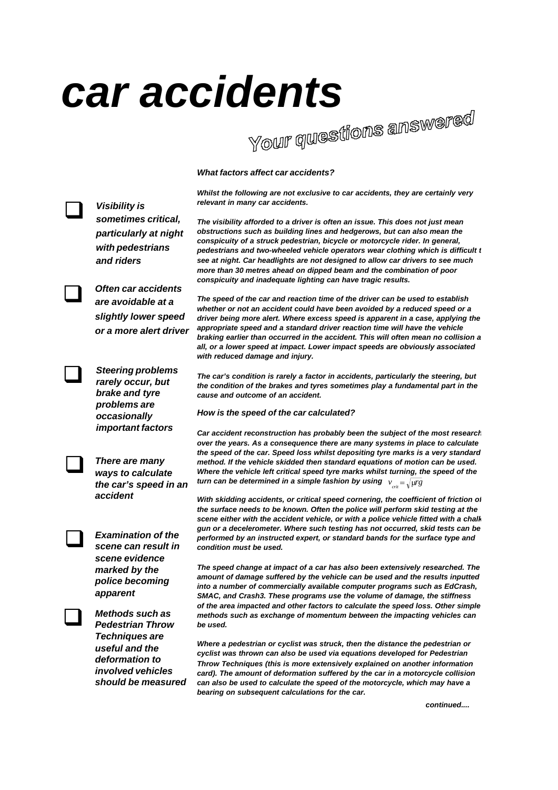## *car accidents*

*What factors affect car accidents?*

*Whilst the following are not exclusive to car accidents, they are certainly very relevant in many car accidents.*

*The visibility afforded to a driver is often an issue. This does not just mean obstructions such as building lines and hedgerows, but can also mean the conspicuity of a struck pedestrian, bicycle or motorcycle rider. In general,* pedestrians and two-wheeled vehicle operators wear clothing which is difficult to *see at night. Car headlights are not designed to allow car drivers to see much more than 30 metres ahead on dipped beam and the combination of poor conspicuity and inadequate lighting can have tragic results.*

*The speed of the car and reaction time of the driver can be used to establish whether or not an accident could have been avoided by a reduced speed or a driver being more alert. Where excess speed is apparent in a case, applying the appropriate speed and a standard driver reaction time will have the vehicle braking earlier than occurred in the accident. This will often mean no collision at all, or a lower speed at impact. Lower impact speeds are obviously associated with reduced damage and injury.*

*The car's condition is rarely a factor in accidents, particularly the steering, but the condition of the brakes and tyres sometimes play a fundamental part in the cause and outcome of an accident.*

## *How is the speed of the car calculated?*

*Car accident reconstruction has probably been the subject of the most research over the years. As a consequence there are many systems in place to calculate the speed of the car. Speed loss whilst depositing tyre marks is a very standard method. If the vehicle skidded then standard equations of motion can be used. Where the vehicle left critical speed tyre marks whilst turning, the speed of the turn can be determined in a simple fashion by using*  $\;$  $_{\rm crit}$  $=$  $\sqrt{\mu\mathrm{g}}$ 

*With skidding accidents, or critical speed cornering, the coefficient of friction of the surface needs to be known. Often the police will perform skid testing at the scene either with the accident vehicle, or with a police vehicle fitted with a chalk gun or a decelerometer. Where such testing has not occurred, skid tests can be performed by an instructed expert, or standard bands for the surface type and condition must be used.*

*The speed change at impact of a car has also been extensively researched. The amount of damage suffered by the vehicle can be used and the results inputted into a number of commercially available computer programs such as EdCrash, SMAC, and Crash3. These programs use the volume of damage, the stiffness of the area impacted and other factors to calculate the speed loss. Other simple methods such as exchange of momentum between the impacting vehicles can be used.*

*Where a pedestrian or cyclist was struck, then the distance the pedestrian or cyclist was thrown can also be used via equations developed for Pedestrian Throw Techniques (this is more extensively explained on another information card). The amount of deformation suffered by the car in a motorcycle collision can also be used to calculate the speed of the motorcycle, which may have a bearing on subsequent calculations for the car.*

*continued....*



*Visibility is* **de Visibility is**<br>sometimes critical,





**Examination of the**<br>scene can result in *scene can result in scene evidence marked by the police becoming apparent*

*ways to calculate the car's speed in an*

*accident*



**1** Methods such as<br>Pedestrian Throw *Pedestrian Throw Techniques are useful and the deformation to involved vehicles should be measured*